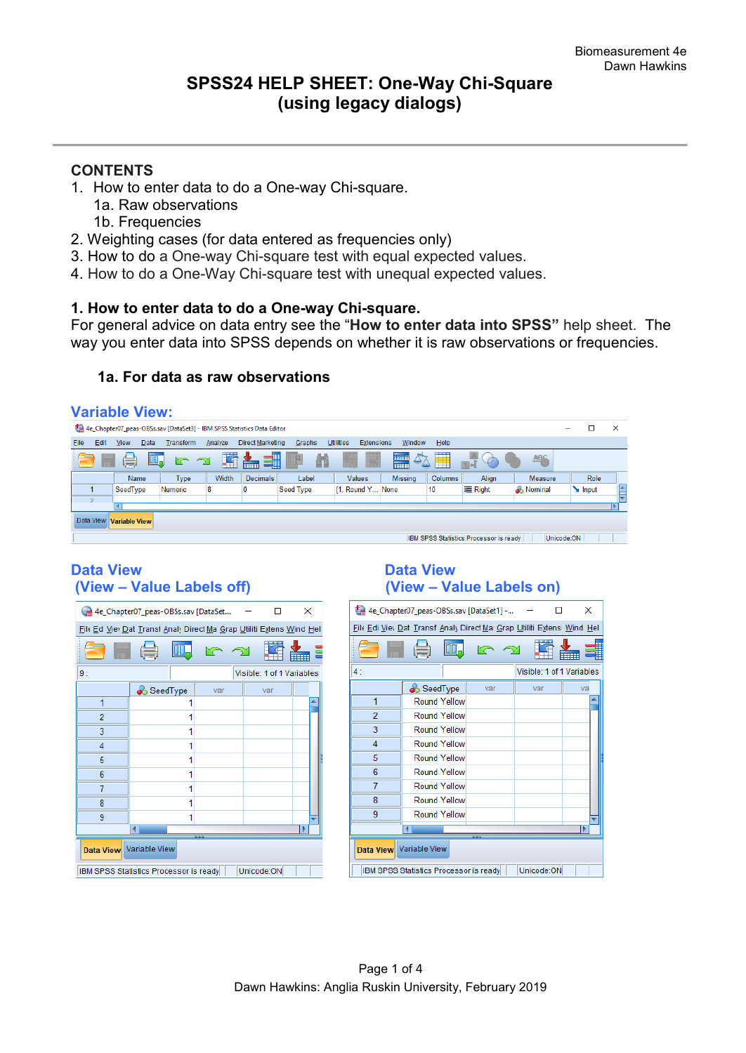# **SPSS24 HELP SHEET: One-Way Chi-Square (using legacy dialogs)**

# **CONTENTS**

- 1. How to enter data to do a One-way Chi-square.
	- 1a. Raw observations
	- 1b. Frequencies
- 2. Weighting cases (for data entered as frequencies only)
- 3. How to do a One-way Chi-square test with equal expected values.
- 4. How to do a One-Way Chi-square test with unequal expected values.

#### **1. How to enter data to do a One-way Chi-square.**

For general advice on data entry see the "**How to enter data into SPSS"** help sheet. The way you enter data into SPSS depends on whether it is raw observations or frequencies.

# **1a. For data as raw observations**

# **Variable View:**

|              | 4e_Chapter07_peas-OBSs.sav [DataSet3] - IBM SPSS Statistics Data Editor<br>×<br>-                 |          |           |         |                  |           |                                |                |         |                                        |                |       |   |
|--------------|---------------------------------------------------------------------------------------------------|----------|-----------|---------|------------------|-----------|--------------------------------|----------------|---------|----------------------------------------|----------------|-------|---|
| Edit<br>File | <b>View</b>                                                                                       | Data     | Transform | Analyze | Direct Marketing | Graphs    | <b>Utilities</b><br>Extensions | Window         | Help    |                                        |                |       |   |
|              | ₩<br>$\Delta$<br>▊<br>m<br>H<br><b>ABC</b><br>$\blacksquare$<br>e<br>$\lnot$<br>$\sim$<br>⊞<br>mm |          |           |         |                  |           |                                |                |         |                                        |                |       |   |
|              |                                                                                                   | Name     | Type      | Width   | <b>Decimals</b>  | Label     | Values                         | <b>Missing</b> | Columns | Align                                  | Measure        | Role  |   |
|              |                                                                                                   | SeedType | Numeric   | 8       |                  | Seed Type | {1, Round Y None               |                | 10      | = Right                                | <b>Nominal</b> | Input | A |
| $\Omega$     |                                                                                                   |          |           |         |                  |           |                                |                |         |                                        |                |       |   |
|              |                                                                                                   |          |           |         |                  |           |                                |                |         |                                        |                |       |   |
|              | Data View<br><b>Variable View</b>                                                                 |          |           |         |                  |           |                                |                |         |                                        |                |       |   |
|              |                                                                                                   |          |           |         |                  |           |                                |                |         | IBM SPSS Statistics Processor is ready | Unicode:ON     |       |   |

# **(View – Value Labels off) (View – Value Labels on)**

|                         | 4e_Chapter07_peas-OBSs.sav [DataSet                                  |     |  |                           | ×             |  |
|-------------------------|----------------------------------------------------------------------|-----|--|---------------------------|---------------|--|
|                         | File Ed Vier Dat Transt Analy Direct Ma Grap Utiliti Extens Wind Hel |     |  |                           |               |  |
|                         |                                                                      |     |  |                           | <b>******</b> |  |
| 9:                      |                                                                      |     |  | Visible: 1 of 1 Variables |               |  |
|                         | SeedType                                                             | var |  | var                       |               |  |
| 1                       |                                                                      |     |  |                           |               |  |
| $\overline{2}$          | 1                                                                    |     |  |                           |               |  |
| 3                       | 1                                                                    |     |  |                           |               |  |
| 4                       | 1                                                                    |     |  |                           |               |  |
| 5                       | 1                                                                    |     |  |                           |               |  |
| 6                       | 1                                                                    |     |  |                           |               |  |
| 7                       | 1                                                                    |     |  |                           |               |  |
| 8                       | 1                                                                    |     |  |                           |               |  |
| 9                       | 1                                                                    |     |  |                           |               |  |
| ь                       |                                                                      |     |  |                           |               |  |
| Data View Variable View |                                                                      |     |  |                           |               |  |
|                         | Unicode:ON<br>IBM SPSS Statistics Processor is ready                 |     |  |                           |               |  |

# Data View<br>
(View – Value Labels off) **Data View**<br>
(View – Value Labels off)

| 4e_Chapter07_peas-OBSs.sav [DataSet1] -<br>×                            |                     |     |                           |    |  |  |
|-------------------------------------------------------------------------|---------------------|-----|---------------------------|----|--|--|
| File Edi Viey Dat Transf Analy Direct Mai Grap Utiliti Extensi Wind Hel |                     |     |                           |    |  |  |
|                                                                         |                     |     |                           |    |  |  |
| 4:                                                                      |                     |     | Visible: 1 of 1 Variables |    |  |  |
|                                                                         | SeedType            | var | var                       | va |  |  |
| 1                                                                       | <b>Round Yellow</b> |     |                           |    |  |  |
| $\overline{2}$                                                          | <b>Round Yellow</b> |     |                           |    |  |  |
| 3                                                                       | <b>Round Yellow</b> |     |                           |    |  |  |
| 4                                                                       | <b>Round Yellow</b> |     |                           |    |  |  |
| 5                                                                       | <b>Round Yellow</b> |     |                           |    |  |  |
| 6                                                                       | <b>Round Yellow</b> |     |                           |    |  |  |
| 7                                                                       | Round Yellow        |     |                           |    |  |  |
| 8                                                                       | Round Yellow        |     |                           |    |  |  |
| 9                                                                       | <b>Round Yellow</b> |     |                           |    |  |  |
| ٨                                                                       |                     |     |                           |    |  |  |
| Data View Variable View                                                 |                     |     |                           |    |  |  |
| Unicode:ON<br>IBM SPSS Statistics Processor is ready                    |                     |     |                           |    |  |  |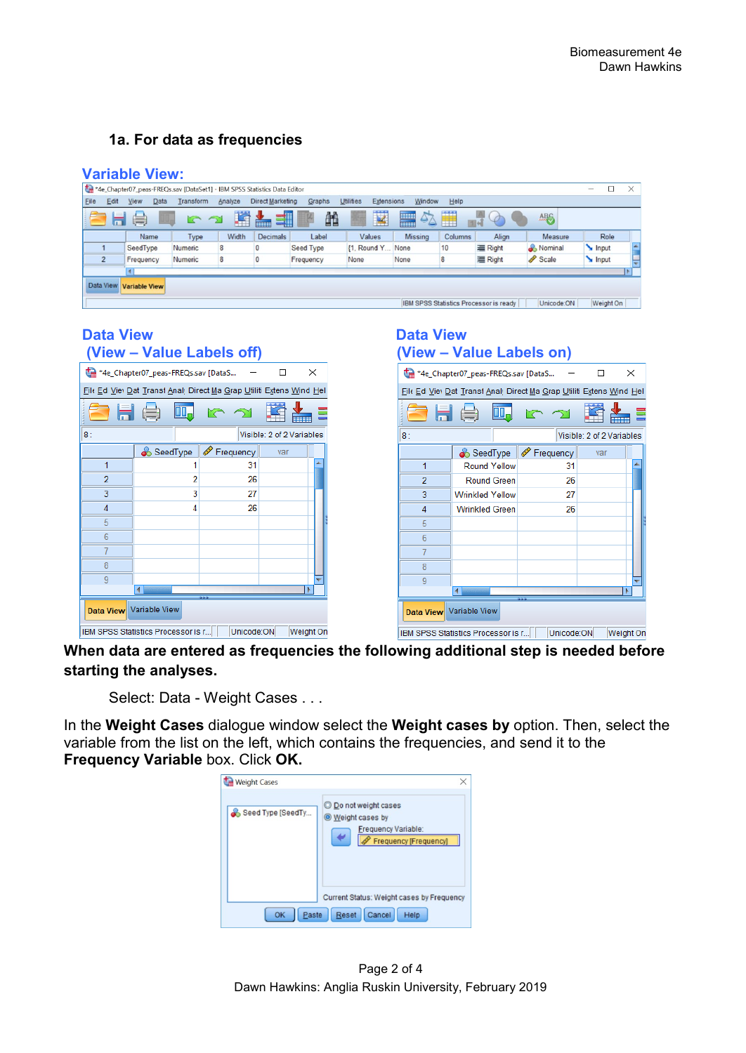# **1a. For data as frequencies**

|      |                                                                                                                                                                                                                                                                                                                                                                                                                         | <b>Variable View:</b> |                |         |                         |           |                                |                |         |                                        |            |           |  |
|------|-------------------------------------------------------------------------------------------------------------------------------------------------------------------------------------------------------------------------------------------------------------------------------------------------------------------------------------------------------------------------------------------------------------------------|-----------------------|----------------|---------|-------------------------|-----------|--------------------------------|----------------|---------|----------------------------------------|------------|-----------|--|
|      | *4e Chapter07 peas-FREQs.sav [DataSet1] - IBM SPSS Statistics Data Editor<br>X<br>$\overline{\phantom{a}}$                                                                                                                                                                                                                                                                                                              |                       |                |         |                         |           |                                |                |         |                                        |            |           |  |
| Eile | Edit                                                                                                                                                                                                                                                                                                                                                                                                                    | View<br>Data          | Transform      | Analyze | <b>Direct Marketing</b> | Graphs    | <b>Utilities</b><br>Extensions | Window         | Help    |                                        |            |           |  |
|      | K<br>Ä<br>m<br>噹<br>$\blacksquare$<br>$\frac{1}{14}$<br>1<br><b>Allen</b><br>ABS<br>$\Delta$<br>$\left( \begin{matrix} \blacksquare \end{matrix} \right)$<br>$\varphi$<br>W.<br>r 2<br>man de la partie de la partie de la partie de la partie de la partie de la partie de la partie de la partie de<br>La partie de la partie de la partie de la partie de la partie de la partie de la partie de la partie de la par |                       |                |         |                         |           |                                |                |         |                                        |            |           |  |
|      |                                                                                                                                                                                                                                                                                                                                                                                                                         | Name                  | <b>Type</b>    | Width   | <b>Decimals</b>         | Label     | Values                         | <b>Missing</b> | Columns | Align                                  | Measure    | Role      |  |
|      |                                                                                                                                                                                                                                                                                                                                                                                                                         | SeedType              | <b>Numeric</b> | 8       |                         | Seed Type | <b>{1, Round Y</b>             | None           | 10      | <b>三 Right</b>                         | Nominal    | Input     |  |
|      | $\overline{2}$                                                                                                                                                                                                                                                                                                                                                                                                          | Frequency             | Numeric        | 8       |                         | Frequency | None                           | None           | 8       | <b>三 Right</b>                         | Scale      | Input     |  |
|      |                                                                                                                                                                                                                                                                                                                                                                                                                         |                       |                |         |                         |           |                                |                |         |                                        |            |           |  |
|      | Data View Variable View                                                                                                                                                                                                                                                                                                                                                                                                 |                       |                |         |                         |           |                                |                |         |                                        |            |           |  |
|      |                                                                                                                                                                                                                                                                                                                                                                                                                         |                       |                |         |                         |           |                                |                |         | IBM SPSS Statistics Processor is ready | Unicode:ON | Weight On |  |

#### **Data View Contract Contract Contract Data View Data View (View – Value Labels off) (View – Value Labels on)**

|                         | *4e_Chapter07_peas-FREQs.sav [DataS                                  |            |                           | ×            |  |
|-------------------------|----------------------------------------------------------------------|------------|---------------------------|--------------|--|
|                         | File Ed View Dat Transt Analy Direct Ma Grap Utiliti Extens Wind Hel |            |                           |              |  |
|                         | 161 (金)                                                              |            |                           | <b>THEFT</b> |  |
| 8:                      |                                                                      |            | Visible: 2 of 2 Variables |              |  |
|                         | SeedType                                                             | iequency   | var                       |              |  |
| 1                       |                                                                      | 31         |                           |              |  |
| $\overline{2}$          | 2                                                                    | 26         |                           |              |  |
| 3                       | 3                                                                    | 27         |                           |              |  |
| 4                       | 4                                                                    | 26         |                           |              |  |
| 5                       |                                                                      |            |                           |              |  |
| 6                       |                                                                      |            |                           |              |  |
| 7                       |                                                                      |            |                           |              |  |
| 8                       |                                                                      |            |                           |              |  |
| 9                       |                                                                      |            |                           |              |  |
|                         |                                                                      |            |                           | ٠            |  |
| Data View Variable View |                                                                      |            |                           |              |  |
|                         | IBM SPSS Statistics Processor is r                                   | Unicode:ON |                           | Weight On    |  |

| Dala view                                                     | (View - Value Labels on)                                             |           |     |                           |  |  |
|---------------------------------------------------------------|----------------------------------------------------------------------|-----------|-----|---------------------------|--|--|
| *4e_Chapter07_peas-FREQs.sav [DataS<br>$\times$               |                                                                      |           |     |                           |  |  |
|                                                               | File Ed View Dat Transt Analy Direct Ma Grap Utiliti Extens Wind Hel |           |     |                           |  |  |
| 日 負                                                           |                                                                      |           |     |                           |  |  |
| 8:                                                            |                                                                      |           |     | Visible: 2 of 2 Variables |  |  |
|                                                               | SeedType                                                             | Frequency | var |                           |  |  |
| 1                                                             | <b>Round Yellow</b>                                                  | 31        |     |                           |  |  |
| $\overline{2}$                                                | <b>Round Green</b>                                                   | 26        |     |                           |  |  |
| 3                                                             | <b>Wrinkled Yellow</b>                                               | 27        |     |                           |  |  |
| 4                                                             | <b>Wrinkled Green</b>                                                | 26        |     |                           |  |  |
| 5                                                             |                                                                      |           |     |                           |  |  |
| 6                                                             |                                                                      |           |     |                           |  |  |
| 7                                                             |                                                                      |           |     |                           |  |  |
| 8                                                             |                                                                      |           |     |                           |  |  |
| 9                                                             |                                                                      |           |     |                           |  |  |
| Data View Variable View                                       |                                                                      |           |     |                           |  |  |
| Unicode:ON<br>Weight On<br>IBM SPSS Statistics Processor is r |                                                                      |           |     |                           |  |  |

**When data are entered as frequencies the following additional step is needed before starting the analyses.** 

Select: Data - Weight Cases . . .

In the **Weight Cases** dialogue window select the **Weight cases by** option. Then, select the variable from the list on the left, which contains the frequencies, and send it to the **Frequency Variable** box. Click **OK.**

| <b>Weight Cases</b> | ×                                                                                               |
|---------------------|-------------------------------------------------------------------------------------------------|
| Seed Type [SeedTy   | O Do not weight cases<br><b>Weight cases by</b><br>Frequency Variable:<br>Frequency [Frequency] |
| Paste<br>OK         | Current Status: Weight cases by Frequency<br><b>Reset</b><br>Cancel<br>Help                     |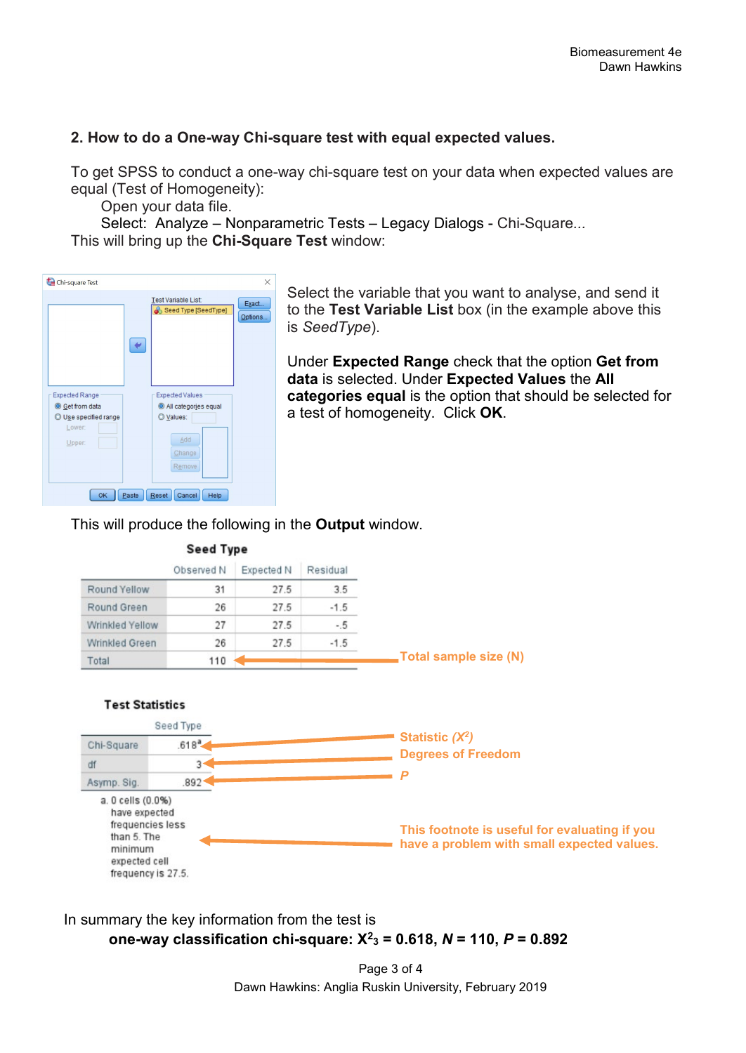# **2. How to do a One-way Chi-square test with equal expected values.**

To get SPSS to conduct a one-way chi-square test on your data when expected values are equal (Test of Homogeneity):

Open your data file.

Select: Analyze – Nonparametric Tests – Legacy Dialogs - Chi-Square*...* This will bring up the **Chi-Square Test** window:



Select the variable that you want to analyse, and send it to the **Test Variable List** box (in the example above this is *SeedType*).

Under **Expected Range** check that the option **Get from data** is selected. Under **Expected Values** the **All categories equal** is the option that should be selected for a test of homogeneity. Click **OK**.

# This will produce the following in the **Output** window.







In summary the key information from the test is  **one-way classification chi-square: X2 <sup>3</sup> = 0.618,** *N* **= 110,** *P* **= 0.892**

> Page 3 of 4 Dawn Hawkins: Anglia Ruskin University, February 2019